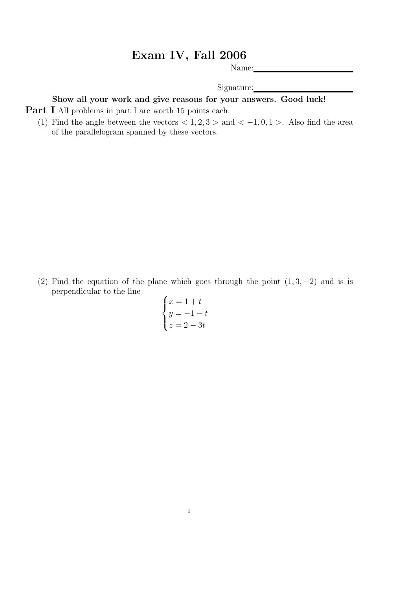## Exam IV, Fall 2006

Name:

Signature:

## Show all your work and give reasons for your answers. Good luck!

**Part I** All problems in part I are worth 15 points each.

(1) Find the angle between the vectors  $< 1, 2, 3 >$  and  $< -1, 0, 1 >$ . Also find the area of the parallelogram spanned by these vectors.

(2) Find the equation of the plane which goes through the point  $(1, 3, -2)$  and is is perpendicular to the line  $\overline{\phantom{a}}$ 

$$
\begin{cases}\nx = 1 + t \\
y = -1 - t \\
z = 2 - 3t\n\end{cases}
$$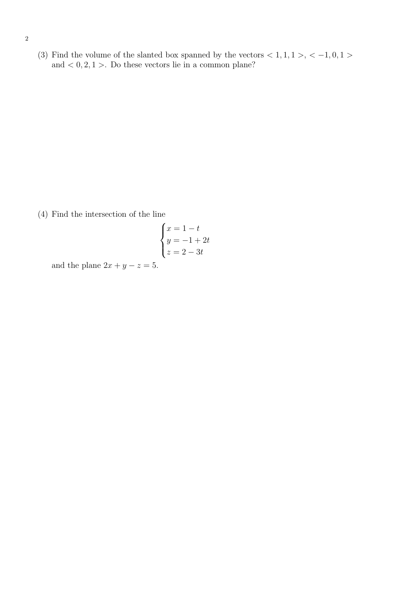(3) Find the volume of the slanted box spanned by the vectors  $< 1, 1, 1>, < -1, 0, 1>$ and  $< 0, 2, 1 >$ . Do these vectors lie in a common plane?

(4) Find the intersection of the line

$$
\begin{cases}\nx = 1 - t \\
y = -1 + 2t \\
z = 2 - 3t\n\end{cases}
$$

and the plane  $2x + y - z = 5$ .